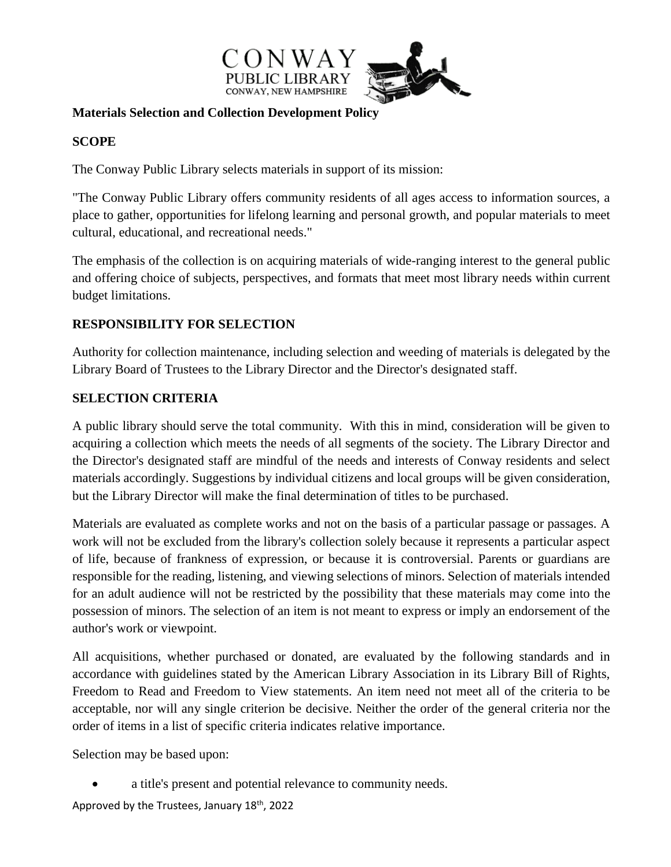

#### **Materials Selection and Collection Development Policy**

## **SCOPE**

The Conway Public Library selects materials in support of its mission:

"The Conway Public Library offers community residents of all ages access to information sources, a place to gather, opportunities for lifelong learning and personal growth, and popular materials to meet cultural, educational, and recreational needs."

The emphasis of the collection is on acquiring materials of wide-ranging interest to the general public and offering choice of subjects, perspectives, and formats that meet most library needs within current budget limitations.

## **RESPONSIBILITY FOR SELECTION**

Authority for collection maintenance, including selection and weeding of materials is delegated by the Library Board of Trustees to the Library Director and the Director's designated staff.

#### **SELECTION CRITERIA**

A public library should serve the total community. With this in mind, consideration will be given to acquiring a collection which meets the needs of all segments of the society. The Library Director and the Director's designated staff are mindful of the needs and interests of Conway residents and select materials accordingly. Suggestions by individual citizens and local groups will be given consideration, but the Library Director will make the final determination of titles to be purchased.

Materials are evaluated as complete works and not on the basis of a particular passage or passages. A work will not be excluded from the library's collection solely because it represents a particular aspect of life, because of frankness of expression, or because it is controversial. Parents or guardians are responsible for the reading, listening, and viewing selections of minors. Selection of materials intended for an adult audience will not be restricted by the possibility that these materials may come into the possession of minors. The selection of an item is not meant to express or imply an endorsement of the author's work or viewpoint.

All acquisitions, whether purchased or donated, are evaluated by the following standards and in accordance with guidelines stated by the American Library Association in its Library Bill of Rights, Freedom to Read and Freedom to View statements. An item need not meet all of the criteria to be acceptable, nor will any single criterion be decisive. Neither the order of the general criteria nor the order of items in a list of specific criteria indicates relative importance.

Selection may be based upon:

a title's present and potential relevance to community needs.

Approved by the Trustees, January 18<sup>th</sup>, 2022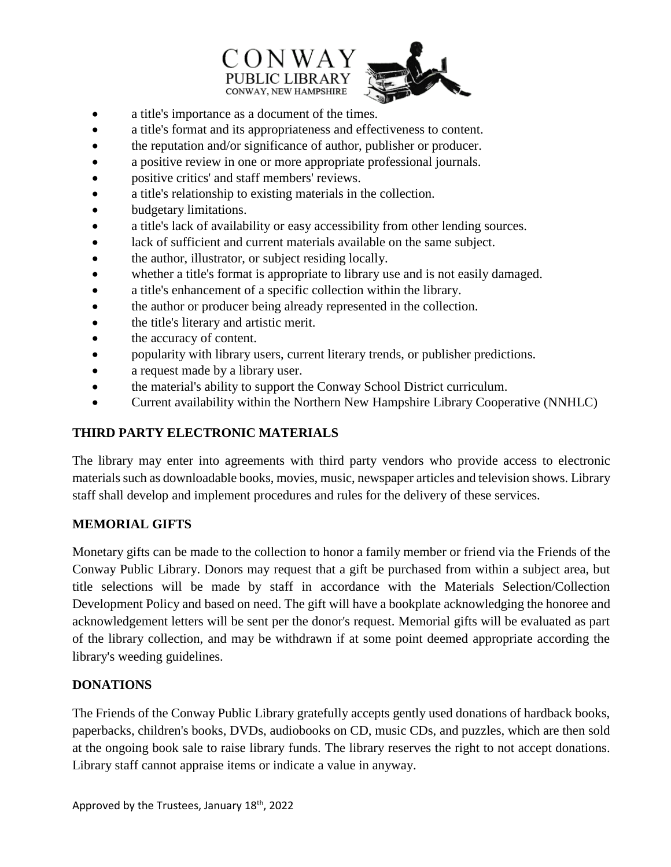



- a title's importance as a document of the times.
- a title's format and its appropriateness and effectiveness to content.
- the reputation and/or significance of author, publisher or producer.
- a positive review in one or more appropriate professional journals.
- positive critics' and staff members' reviews.
- a title's relationship to existing materials in the collection.
- budgetary limitations.
- a title's lack of availability or easy accessibility from other lending sources.
- lack of sufficient and current materials available on the same subject.
- the author, illustrator, or subject residing locally.
- whether a title's format is appropriate to library use and is not easily damaged.
- a title's enhancement of a specific collection within the library.
- the author or producer being already represented in the collection.
- the title's literary and artistic merit.
- the accuracy of content.
- popularity with library users, current literary trends, or publisher predictions.
- a request made by a library user.
- the material's ability to support the Conway School District curriculum.
- Current availability within the Northern New Hampshire Library Cooperative (NNHLC)

# **THIRD PARTY ELECTRONIC MATERIALS**

The library may enter into agreements with third party vendors who provide access to electronic materials such as downloadable books, movies, music, newspaper articles and television shows. Library staff shall develop and implement procedures and rules for the delivery of these services.

# **MEMORIAL GIFTS**

Monetary gifts can be made to the collection to honor a family member or friend via the Friends of the Conway Public Library. Donors may request that a gift be purchased from within a subject area, but title selections will be made by staff in accordance with the Materials Selection/Collection Development Policy and based on need. The gift will have a bookplate acknowledging the honoree and acknowledgement letters will be sent per the donor's request. Memorial gifts will be evaluated as part of the library collection, and may be withdrawn if at some point deemed appropriate according the library's weeding guidelines.

# **DONATIONS**

The Friends of the Conway Public Library gratefully accepts gently used donations of hardback books, paperbacks, children's books, DVDs, audiobooks on CD, music CDs, and puzzles, which are then sold at the ongoing book sale to raise library funds. The library reserves the right to not accept donations. Library staff cannot appraise items or indicate a value in anyway.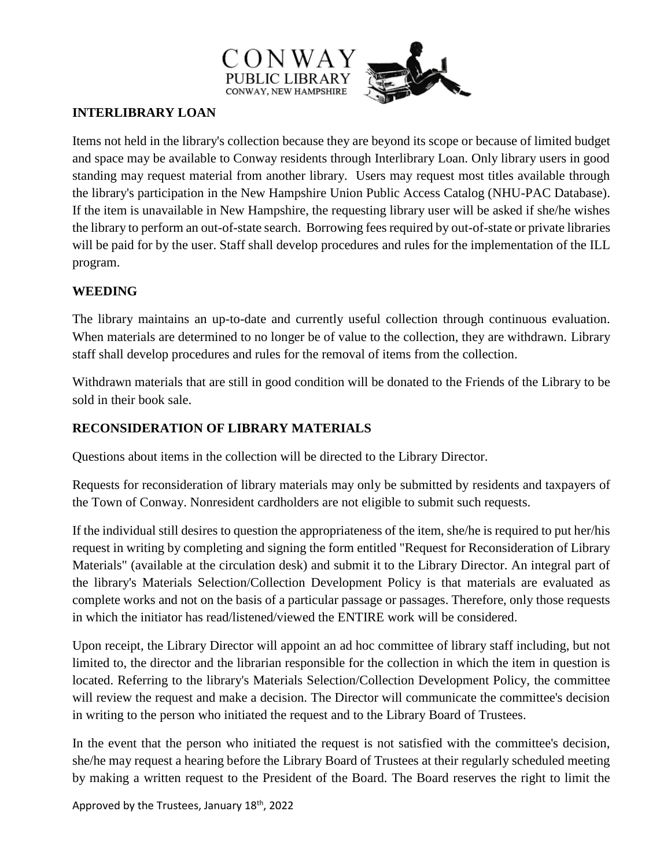



# **INTERLIBRARY LOAN**

Items not held in the library's collection because they are beyond its scope or because of limited budget and space may be available to Conway residents through Interlibrary Loan. Only library users in good standing may request material from another library. Users may request most titles available through the library's participation in the New Hampshire Union Public Access Catalog (NHU-PAC Database). If the item is unavailable in New Hampshire, the requesting library user will be asked if she/he wishes the library to perform an out-of-state search. Borrowing fees required by out-of-state or private libraries will be paid for by the user. Staff shall develop procedures and rules for the implementation of the ILL program.

## **WEEDING**

The library maintains an up-to-date and currently useful collection through continuous evaluation. When materials are determined to no longer be of value to the collection, they are withdrawn. Library staff shall develop procedures and rules for the removal of items from the collection.

Withdrawn materials that are still in good condition will be donated to the Friends of the Library to be sold in their book sale.

# **RECONSIDERATION OF LIBRARY MATERIALS**

Questions about items in the collection will be directed to the Library Director.

Requests for reconsideration of library materials may only be submitted by residents and taxpayers of the Town of Conway. Nonresident cardholders are not eligible to submit such requests.

If the individual still desires to question the appropriateness of the item, she/he is required to put her/his request in writing by completing and signing the form entitled "Request for Reconsideration of Library Materials" (available at the circulation desk) and submit it to the Library Director. An integral part of the library's Materials Selection/Collection Development Policy is that materials are evaluated as complete works and not on the basis of a particular passage or passages. Therefore, only those requests in which the initiator has read/listened/viewed the ENTIRE work will be considered.

Upon receipt, the Library Director will appoint an ad hoc committee of library staff including, but not limited to, the director and the librarian responsible for the collection in which the item in question is located. Referring to the library's Materials Selection/Collection Development Policy, the committee will review the request and make a decision. The Director will communicate the committee's decision in writing to the person who initiated the request and to the Library Board of Trustees.

In the event that the person who initiated the request is not satisfied with the committee's decision, she/he may request a hearing before the Library Board of Trustees at their regularly scheduled meeting by making a written request to the President of the Board. The Board reserves the right to limit the

Approved by the Trustees, January 18<sup>th</sup>, 2022